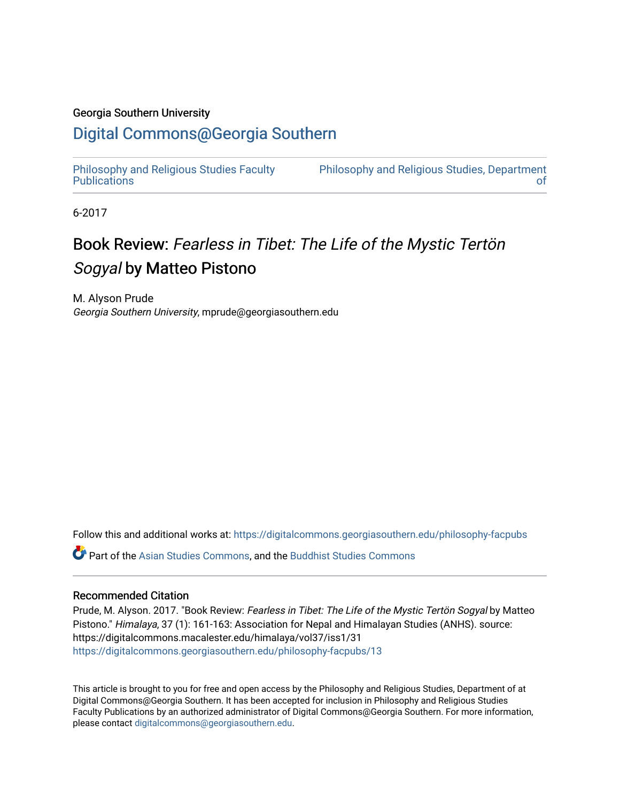### Georgia Southern University

### [Digital Commons@Georgia Southern](https://digitalcommons.georgiasouthern.edu/)

[Philosophy and Religious Studies Faculty](https://digitalcommons.georgiasouthern.edu/philosophy-facpubs)  **Publications** 

[Philosophy and Religious Studies, Department](https://digitalcommons.georgiasouthern.edu/philosophy)  [of](https://digitalcommons.georgiasouthern.edu/philosophy) 

6-2017

## Book Review: Fearless in Tibet: The Life of the Mystic Tertön Sogyal by Matteo Pistono

M. Alyson Prude Georgia Southern University, mprude@georgiasouthern.edu

Follow this and additional works at: [https://digitalcommons.georgiasouthern.edu/philosophy-facpubs](https://digitalcommons.georgiasouthern.edu/philosophy-facpubs?utm_source=digitalcommons.georgiasouthern.edu%2Fphilosophy-facpubs%2F13&utm_medium=PDF&utm_campaign=PDFCoverPages) 

Part of the [Asian Studies Commons,](https://network.bepress.com/hgg/discipline/361?utm_source=digitalcommons.georgiasouthern.edu%2Fphilosophy-facpubs%2F13&utm_medium=PDF&utm_campaign=PDFCoverPages) and the [Buddhist Studies Commons](https://network.bepress.com/hgg/discipline/1344?utm_source=digitalcommons.georgiasouthern.edu%2Fphilosophy-facpubs%2F13&utm_medium=PDF&utm_campaign=PDFCoverPages)

#### Recommended Citation

Prude, M. Alyson. 2017. "Book Review: Fearless in Tibet: The Life of the Mystic Tertön Sogyal by Matteo Pistono." Himalaya, 37 (1): 161-163: Association for Nepal and Himalayan Studies (ANHS). source: https://digitalcommons.macalester.edu/himalaya/vol37/iss1/31 [https://digitalcommons.georgiasouthern.edu/philosophy-facpubs/13](https://digitalcommons.georgiasouthern.edu/philosophy-facpubs/13?utm_source=digitalcommons.georgiasouthern.edu%2Fphilosophy-facpubs%2F13&utm_medium=PDF&utm_campaign=PDFCoverPages) 

This article is brought to you for free and open access by the Philosophy and Religious Studies, Department of at Digital Commons@Georgia Southern. It has been accepted for inclusion in Philosophy and Religious Studies Faculty Publications by an authorized administrator of Digital Commons@Georgia Southern. For more information, please contact [digitalcommons@georgiasouthern.edu.](mailto:digitalcommons@georgiasouthern.edu)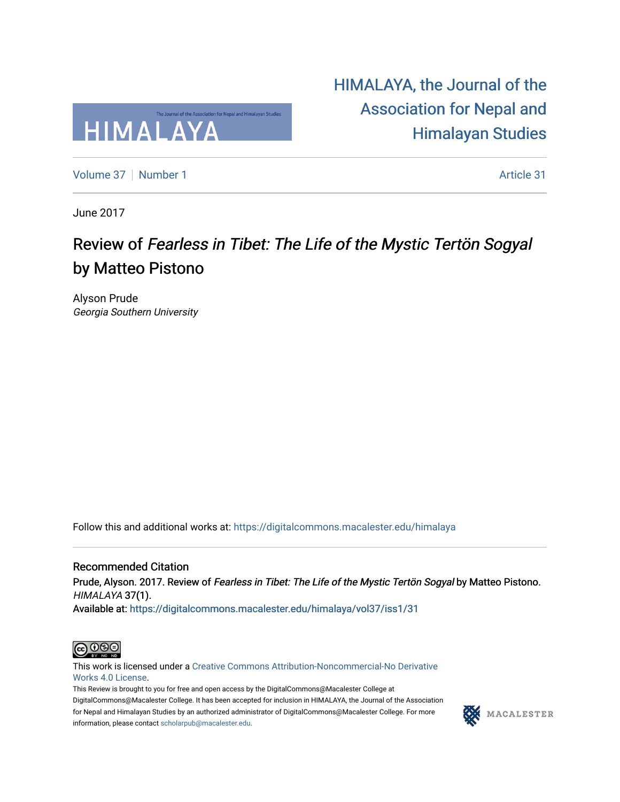

[HIMALAYA, the Journal of the](https://digitalcommons.macalester.edu/himalaya)  [Association for Nepal and](https://digitalcommons.macalester.edu/himalaya)  [Himalayan Studies](https://digitalcommons.macalester.edu/himalaya) 

[Volume 37](https://digitalcommons.macalester.edu/himalaya/vol37) [Number 1](https://digitalcommons.macalester.edu/himalaya/vol37/iss1) Article 31

June 2017

# Review of Fearless in Tibet: The Life of the Mystic Tertön Sogyal by Matteo Pistono

Alyson Prude Georgia Southern University

Follow this and additional works at: [https://digitalcommons.macalester.edu/himalaya](https://digitalcommons.macalester.edu/himalaya?utm_source=digitalcommons.macalester.edu%2Fhimalaya%2Fvol37%2Fiss1%2F31&utm_medium=PDF&utm_campaign=PDFCoverPages)

Recommended Citation Prude, Alyson. 2017. Review of Fearless in Tibet: The Life of the Mystic Tertön Sogyal by Matteo Pistono. HIMALAYA 37(1).

Available at: https:/[/digitalcommons.macalester.edu/himala](https://digitalcommons.macalester.edu/himalaya/vol37/iss1/31?utm_source=digitalcommons.macalester.edu%2Fhimalaya%2Fvol37%2Fiss1%2F31&utm_medium=PDF&utm_campaign=PDFCoverPages)ya/vol37/iss1/31



This work is licensed under a [Creative Commons Attribution-Noncommercial-No Derivative](https://creativecommons.org/licenses/by-nc-nd/4.0/)  [Works 4.0 License](https://creativecommons.org/licenses/by-nc-nd/4.0/).

This Review is brought to you for free and open access by the DigitalCommons@Macalester College at DigitalCommons@Macalester College. It has been accepted for inclusion in HIMALAYA, the Journal of the Association for Nepal and Himalayan Studies by an authorized administrator of DigitalCommons@Macalester College. For more information, please contact [scholarpub@macalester.edu](mailto:scholarpub@macalester.edu).

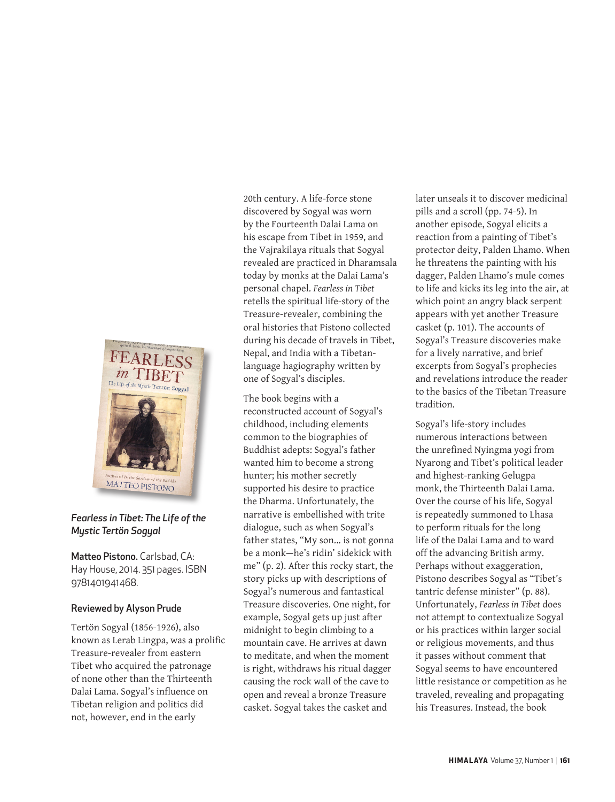

### *Fearless in Tibet: The Life of the Mystic Tertön Sogyal*

Matteo Pistono. Carlsbad, CA: Hay House, 2014. 351 pages. ISBN 9781401941468.

### Reviewed by Alyson Prude

Tertön Sogyal (1856-1926), also known as Lerab Lingpa, was a prolific Treasure-revealer from eastern Tibet who acquired the patronage of none other than the Thirteenth Dalai Lama. Sogyal's influence on Tibetan religion and politics did not, however, end in the early

20th century. A life-force stone discovered by Sogyal was worn by the Fourteenth Dalai Lama on his escape from Tibet in 1959, and the Vajrakilaya rituals that Sogyal revealed are practiced in Dharamsala today by monks at the Dalai Lama's personal chapel. *Fearless in Tibet* retells the spiritual life-story of the Treasure-revealer, combining the oral histories that Pistono collected during his decade of travels in Tibet, Nepal, and India with a Tibetanlanguage hagiography written by one of Sogyal's disciples.

The book begins with a reconstructed account of Sogyal's childhood, including elements common to the biographies of Buddhist adepts: Sogyal's father wanted him to become a strong hunter; his mother secretly supported his desire to practice the Dharma. Unfortunately, the narrative is embellished with trite dialogue, such as when Sogyal's father states, "My son... is not gonna be a monk—he's ridin' sidekick with me" (p. 2). After this rocky start, the story picks up with descriptions of Sogyal's numerous and fantastical Treasure discoveries. One night, for example, Sogyal gets up just after midnight to begin climbing to a mountain cave. He arrives at dawn to meditate, and when the moment is right, withdraws his ritual dagger causing the rock wall of the cave to open and reveal a bronze Treasure casket. Sogyal takes the casket and

later unseals it to discover medicinal pills and a scroll (pp. 74-5). In another episode, Sogyal elicits a reaction from a painting of Tibet's protector deity, Palden Lhamo. When he threatens the painting with his dagger, Palden Lhamo's mule comes to life and kicks its leg into the air, at which point an angry black serpent appears with yet another Treasure casket (p. 101). The accounts of Sogyal's Treasure discoveries make for a lively narrative, and brief excerpts from Sogyal's prophecies and revelations introduce the reader to the basics of the Tibetan Treasure tradition.

Sogyal's life-story includes numerous interactions between the unrefined Nyingma yogi from Nyarong and Tibet's political leader and highest-ranking Gelugpa monk, the Thirteenth Dalai Lama. Over the course of his life, Sogyal is repeatedly summoned to Lhasa to perform rituals for the long life of the Dalai Lama and to ward off the advancing British army. Perhaps without exaggeration, Pistono describes Sogyal as "Tibet's tantric defense minister" (p. 88). Unfortunately, *Fearless in Tibet* does not attempt to contextualize Sogyal or his practices within larger social or religious movements, and thus it passes without comment that Sogyal seems to have encountered little resistance or competition as he traveled, revealing and propagating his Treasures. Instead, the book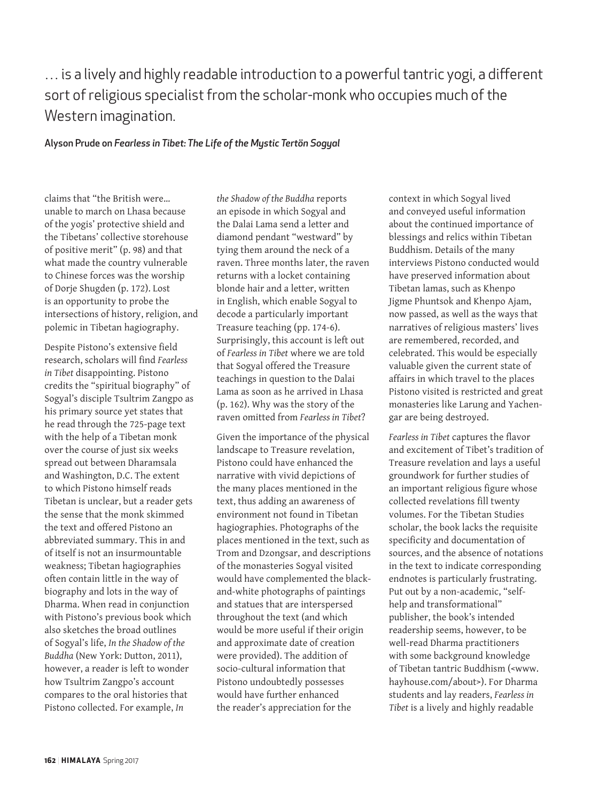### … is a lively and highly readable introduction to a powerful tantric yogi, a different sort of religious specialist from the scholar-monk who occupies much of the Western imagination.

### Alyson Prude on *Fearless in Tibet: The Life of the Mystic Tertön Sogyal*

claims that "the British were… unable to march on Lhasa because of the yogis' protective shield and the Tibetans' collective storehouse of positive merit" (p. 98) and that what made the country vulnerable to Chinese forces was the worship of Dorje Shugden (p. 172). Lost is an opportunity to probe the intersections of history, religion, and polemic in Tibetan hagiography.

Despite Pistono's extensive field research, scholars will find *Fearless in Tibet* disappointing. Pistono credits the "spiritual biography" of Sogyal's disciple Tsultrim Zangpo as his primary source yet states that he read through the 725-page text with the help of a Tibetan monk over the course of just six weeks spread out between Dharamsala and Washington, D.C. The extent to which Pistono himself reads Tibetan is unclear, but a reader gets the sense that the monk skimmed the text and offered Pistono an abbreviated summary. This in and of itself is not an insurmountable weakness; Tibetan hagiographies often contain little in the way of biography and lots in the way of Dharma. When read in conjunction with Pistono's previous book which also sketches the broad outlines of Sogyal's life, *In the Shadow of the Buddha* (New York: Dutton, 2011), however, a reader is left to wonder how Tsultrim Zangpo's account compares to the oral histories that Pistono collected. For example, *In* 

*the Shadow of the Buddha* reports an episode in which Sogyal and the Dalai Lama send a letter and diamond pendant "westward" by tying them around the neck of a raven. Three months later, the raven returns with a locket containing blonde hair and a letter, written in English, which enable Sogyal to decode a particularly important Treasure teaching (pp. 174-6). Surprisingly, this account is left out of *Fearless in Tibet* where we are told that Sogyal offered the Treasure teachings in question to the Dalai Lama as soon as he arrived in Lhasa (p. 162). Why was the story of the raven omitted from *Fearless in Tibet*?

Given the importance of the physical landscape to Treasure revelation, Pistono could have enhanced the narrative with vivid depictions of the many places mentioned in the text, thus adding an awareness of environment not found in Tibetan hagiographies. Photographs of the places mentioned in the text, such as Trom and Dzongsar, and descriptions of the monasteries Sogyal visited would have complemented the blackand-white photographs of paintings and statues that are interspersed throughout the text (and which would be more useful if their origin and approximate date of creation were provided). The addition of socio-cultural information that Pistono undoubtedly possesses would have further enhanced the reader's appreciation for the

context in which Sogyal lived and conveyed useful information about the continued importance of blessings and relics within Tibetan Buddhism. Details of the many interviews Pistono conducted would have preserved information about Tibetan lamas, such as Khenpo Jigme Phuntsok and Khenpo Ajam, now passed, as well as the ways that narratives of religious masters' lives are remembered, recorded, and celebrated. This would be especially valuable given the current state of affairs in which travel to the places Pistono visited is restricted and great monasteries like Larung and Yachengar are being destroyed.

*Fearless in Tibet* captures the flavor and excitement of Tibet's tradition of Treasure revelation and lays a useful groundwork for further studies of an important religious figure whose collected revelations fill twenty volumes. For the Tibetan Studies scholar, the book lacks the requisite specificity and documentation of sources, and the absence of notations in the text to indicate corresponding endnotes is particularly frustrating. Put out by a non-academic, "selfhelp and transformational" publisher, the book's intended readership seems, however, to be well-read Dharma practitioners with some background knowledge of Tibetan tantric Buddhism (<www. hayhouse.com/about>). For Dharma students and lay readers, *Fearless in Tibet* is a lively and highly readable